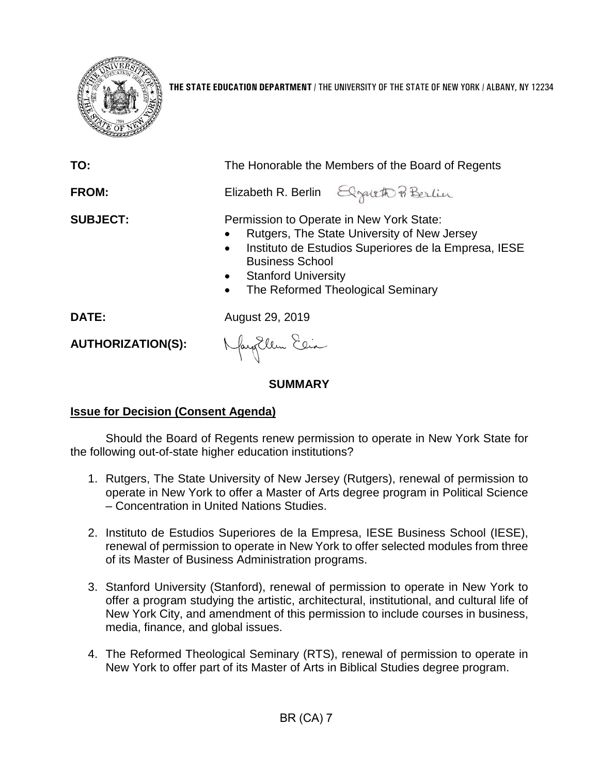

**THE STATE EDUCATION DEPARTMENT** / THE UNIVERSITY OF THE STATE OF NEW YORK / ALBANY, NY 12234

| TO:<br><b>FROM:</b>      | The Honorable the Members of the Board of Regents<br>Elizabeth R. Berlin Elgateth P Berlin                                                                                                                                                                                          |
|--------------------------|-------------------------------------------------------------------------------------------------------------------------------------------------------------------------------------------------------------------------------------------------------------------------------------|
| <b>SUBJECT:</b>          | Permission to Operate in New York State:<br>Rutgers, The State University of New Jersey<br>Instituto de Estudios Superiores de la Empresa, IESE<br>$\bullet$<br><b>Business School</b><br><b>Stanford University</b><br>$\bullet$<br>The Reformed Theological Seminary<br>$\bullet$ |
| DATE:                    | August 29, 2019                                                                                                                                                                                                                                                                     |
| <b>AUTHORIZATION(S):</b> | Nagollem Elia                                                                                                                                                                                                                                                                       |
| SUMMARY                  |                                                                                                                                                                                                                                                                                     |

# **Issue for Decision (Consent Agenda)**

Should the Board of Regents renew permission to operate in New York State for the following out-of-state higher education institutions?

- 1. Rutgers, The State University of New Jersey (Rutgers), renewal of permission to operate in New York to offer a Master of Arts degree program in Political Science – Concentration in United Nations Studies.
- 2. Instituto de Estudios Superiores de la Empresa, IESE Business School (IESE), renewal of permission to operate in New York to offer selected modules from three of its Master of Business Administration programs.
- 3. Stanford University (Stanford), renewal of permission to operate in New York to offer a program studying the artistic, architectural, institutional, and cultural life of New York City, and amendment of this permission to include courses in business, media, finance, and global issues.
- 4. The Reformed Theological Seminary (RTS), renewal of permission to operate in New York to offer part of its Master of Arts in Biblical Studies degree program.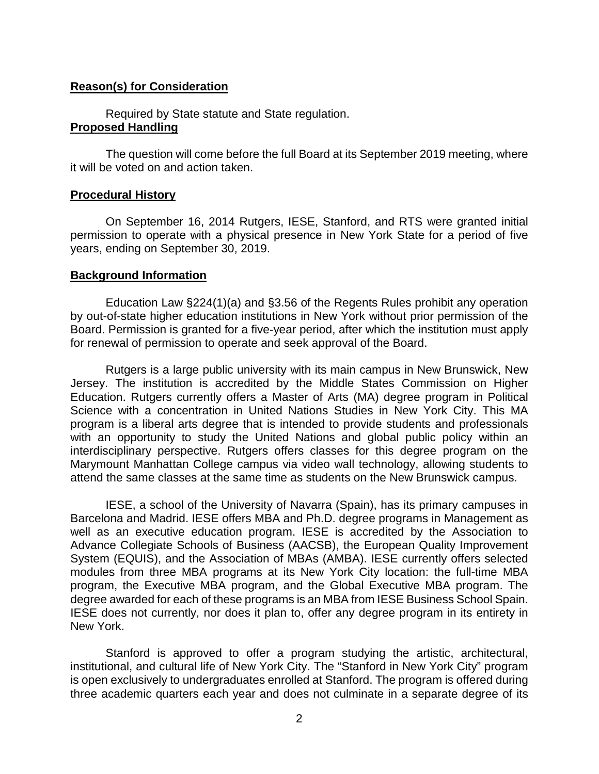### **Reason(s) for Consideration**

Required by State statute and State regulation. **Proposed Handling**

The question will come before the full Board at its September 2019 meeting, where it will be voted on and action taken.

### **Procedural History**

On September 16, 2014 Rutgers, IESE, Stanford, and RTS were granted initial permission to operate with a physical presence in New York State for a period of five years, ending on September 30, 2019.

#### **Background Information**

Education Law §224(1)(a) and §3.56 of the Regents Rules prohibit any operation by out-of-state higher education institutions in New York without prior permission of the Board. Permission is granted for a five-year period, after which the institution must apply for renewal of permission to operate and seek approval of the Board.

Rutgers is a large public university with its main campus in New Brunswick, New Jersey. The institution is accredited by the Middle States Commission on Higher Education. Rutgers currently offers a Master of Arts (MA) degree program in Political Science with a concentration in United Nations Studies in New York City. This MA program is a liberal arts degree that is intended to provide students and professionals with an opportunity to study the United Nations and global public policy within an interdisciplinary perspective. Rutgers offers classes for this degree program on the Marymount Manhattan College campus via video wall technology, allowing students to attend the same classes at the same time as students on the New Brunswick campus.

IESE, a school of the University of Navarra (Spain), has its primary campuses in Barcelona and Madrid. IESE offers MBA and Ph.D. degree programs in Management as well as an executive education program. IESE is accredited by the Association to Advance Collegiate Schools of Business (AACSB), the European Quality Improvement System (EQUIS), and the Association of MBAs (AMBA). IESE currently offers selected modules from three MBA programs at its New York City location: the full-time MBA program, the Executive MBA program, and the Global Executive MBA program. The degree awarded for each of these programs is an MBA from IESE Business School Spain. IESE does not currently, nor does it plan to, offer any degree program in its entirety in New York.

Stanford is approved to offer a program studying the artistic, architectural, institutional, and cultural life of New York City. The "Stanford in New York City" program is open exclusively to undergraduates enrolled at Stanford. The program is offered during three academic quarters each year and does not culminate in a separate degree of its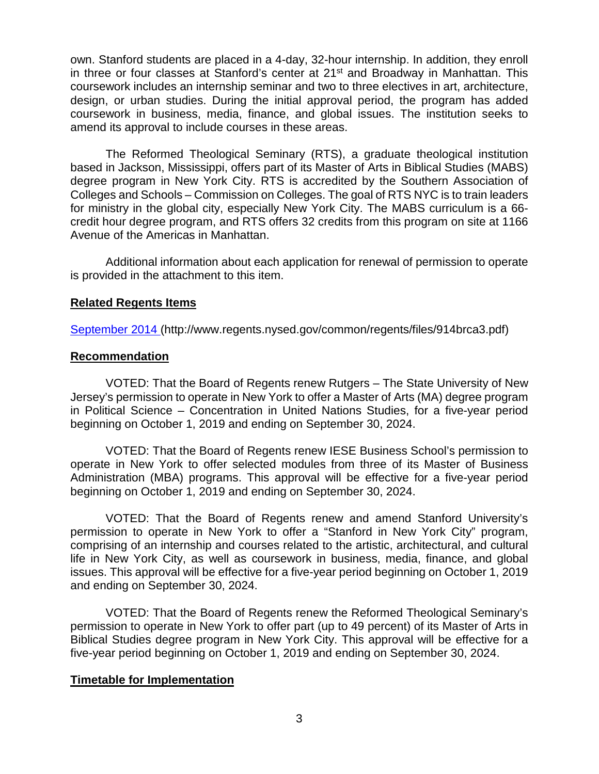own. Stanford students are placed in a 4-day, 32-hour internship. In addition, they enroll in three or four classes at Stanford's center at 21<sup>st</sup> and Broadway in Manhattan. This coursework includes an internship seminar and two to three electives in art, architecture, design, or urban studies. During the initial approval period, the program has added coursework in business, media, finance, and global issues. The institution seeks to amend its approval to include courses in these areas.

The Reformed Theological Seminary (RTS), a graduate theological institution based in Jackson, Mississippi, offers part of its Master of Arts in Biblical Studies (MABS) degree program in New York City. RTS is accredited by the Southern Association of Colleges and Schools – Commission on Colleges. The goal of RTS NYC is to train leaders for ministry in the global city, especially New York City. The MABS curriculum is a 66 credit hour degree program, and RTS offers 32 credits from this program on site at 1166 Avenue of the Americas in Manhattan.

Additional information about each application for renewal of permission to operate is provided in the attachment to this item.

# **Related Regents Items**

[September 2014](http://www.regents.nysed.gov/common/regents/files/914brca3.pdf) (http://www.regents.nysed.gov/common/regents/files/914brca3.pdf)

# **Recommendation**

VOTED: That the Board of Regents renew Rutgers – The State University of New Jersey's permission to operate in New York to offer a Master of Arts (MA) degree program in Political Science – Concentration in United Nations Studies, for a five-year period beginning on October 1, 2019 and ending on September 30, 2024.

VOTED: That the Board of Regents renew IESE Business School's permission to operate in New York to offer selected modules from three of its Master of Business Administration (MBA) programs. This approval will be effective for a five-year period beginning on October 1, 2019 and ending on September 30, 2024.

VOTED: That the Board of Regents renew and amend Stanford University's permission to operate in New York to offer a "Stanford in New York City" program, comprising of an internship and courses related to the artistic, architectural, and cultural life in New York City, as well as coursework in business, media, finance, and global issues. This approval will be effective for a five-year period beginning on October 1, 2019 and ending on September 30, 2024.

VOTED: That the Board of Regents renew the Reformed Theological Seminary's permission to operate in New York to offer part (up to 49 percent) of its Master of Arts in Biblical Studies degree program in New York City. This approval will be effective for a five-year period beginning on October 1, 2019 and ending on September 30, 2024.

# **Timetable for Implementation**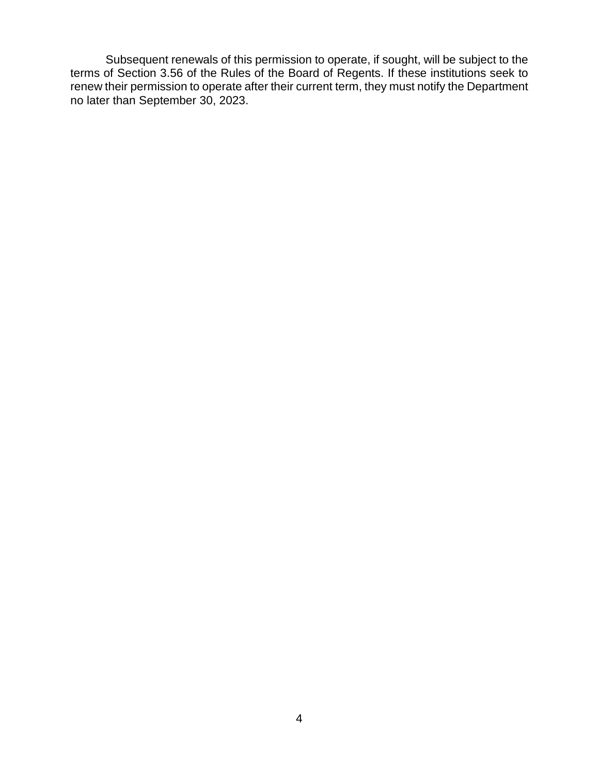Subsequent renewals of this permission to operate, if sought, will be subject to the terms of Section 3.56 of the Rules of the Board of Regents. If these institutions seek to renew their permission to operate after their current term, they must notify the Department no later than September 30, 2023.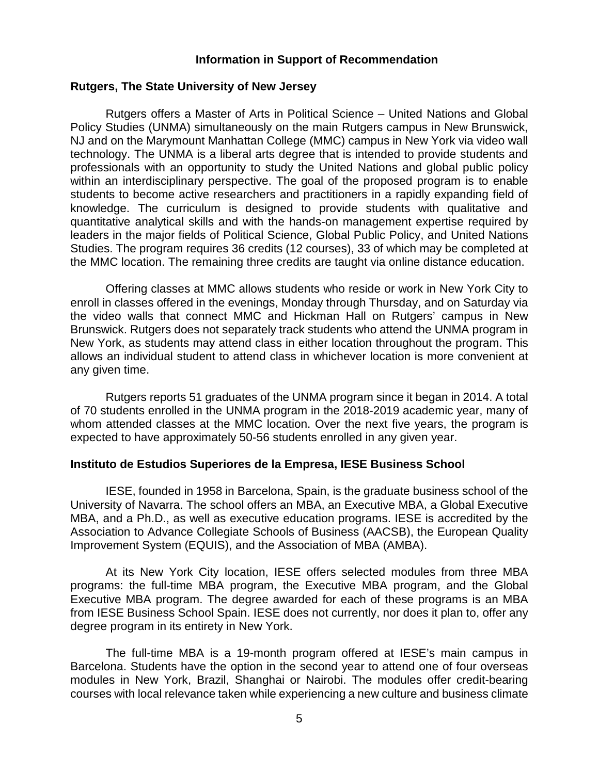### **Information in Support of Recommendation**

### **Rutgers, The State University of New Jersey**

Rutgers offers a Master of Arts in Political Science – United Nations and Global Policy Studies (UNMA) simultaneously on the main Rutgers campus in New Brunswick, NJ and on the Marymount Manhattan College (MMC) campus in New York via video wall technology. The UNMA is a liberal arts degree that is intended to provide students and professionals with an opportunity to study the United Nations and global public policy within an interdisciplinary perspective. The goal of the proposed program is to enable students to become active researchers and practitioners in a rapidly expanding field of knowledge. The curriculum is designed to provide students with qualitative and quantitative analytical skills and with the hands-on management expertise required by leaders in the major fields of Political Science, Global Public Policy, and United Nations Studies. The program requires 36 credits (12 courses), 33 of which may be completed at the MMC location. The remaining three credits are taught via online distance education.

Offering classes at MMC allows students who reside or work in New York City to enroll in classes offered in the evenings, Monday through Thursday, and on Saturday via the video walls that connect MMC and Hickman Hall on Rutgers' campus in New Brunswick. Rutgers does not separately track students who attend the UNMA program in New York, as students may attend class in either location throughout the program. This allows an individual student to attend class in whichever location is more convenient at any given time.

Rutgers reports 51 graduates of the UNMA program since it began in 2014. A total of 70 students enrolled in the UNMA program in the 2018-2019 academic year, many of whom attended classes at the MMC location. Over the next five years, the program is expected to have approximately 50-56 students enrolled in any given year.

#### **Instituto de Estudios Superiores de la Empresa, IESE Business School**

IESE, founded in 1958 in Barcelona, Spain, is the graduate business school of the University of Navarra. The school offers an MBA, an Executive MBA, a Global Executive MBA, and a Ph.D., as well as executive education programs. IESE is accredited by the Association to Advance Collegiate Schools of Business (AACSB), the European Quality Improvement System (EQUIS), and the Association of MBA (AMBA).

At its New York City location, IESE offers selected modules from three MBA programs: the full-time MBA program, the Executive MBA program, and the Global Executive MBA program. The degree awarded for each of these programs is an MBA from IESE Business School Spain. IESE does not currently, nor does it plan to, offer any degree program in its entirety in New York.

The full-time MBA is a 19-month program offered at IESE's main campus in Barcelona. Students have the option in the second year to attend one of four overseas modules in New York, Brazil, Shanghai or Nairobi. The modules offer credit-bearing courses with local relevance taken while experiencing a new culture and business climate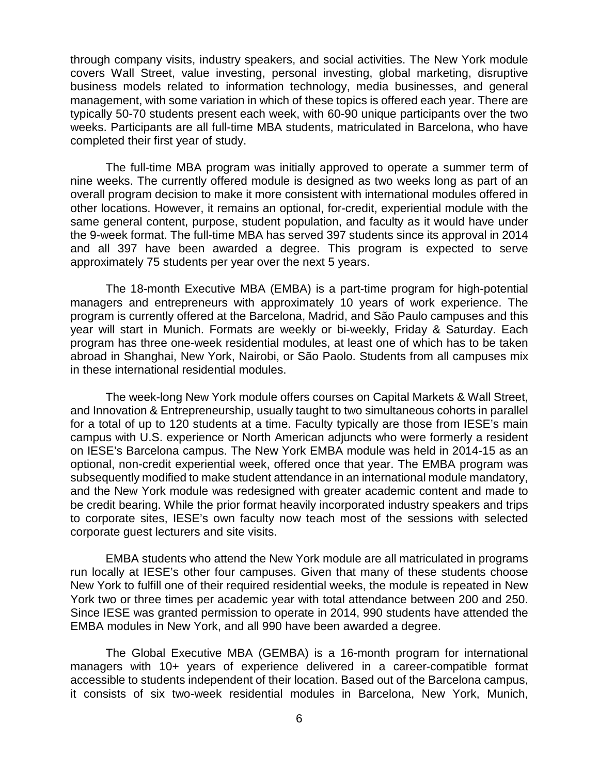through company visits, industry speakers, and social activities. The New York module covers Wall Street, value investing, personal investing, global marketing, disruptive business models related to information technology, media businesses, and general management, with some variation in which of these topics is offered each year. There are typically 50-70 students present each week, with 60-90 unique participants over the two weeks. Participants are all full-time MBA students, matriculated in Barcelona, who have completed their first year of study.

The full-time MBA program was initially approved to operate a summer term of nine weeks. The currently offered module is designed as two weeks long as part of an overall program decision to make it more consistent with international modules offered in other locations. However, it remains an optional, for-credit, experiential module with the same general content, purpose, student population, and faculty as it would have under the 9-week format. The full-time MBA has served 397 students since its approval in 2014 and all 397 have been awarded a degree. This program is expected to serve approximately 75 students per year over the next 5 years.

The 18-month Executive MBA (EMBA) is a part-time program for high-potential managers and entrepreneurs with approximately 10 years of work experience. The program is currently offered at the Barcelona, Madrid, and São Paulo campuses and this year will start in Munich. Formats are weekly or bi-weekly, Friday & Saturday. Each program has three one-week residential modules, at least one of which has to be taken abroad in Shanghai, New York, Nairobi, or São Paolo. Students from all campuses mix in these international residential modules.

The week-long New York module offers courses on Capital Markets & Wall Street, and Innovation & Entrepreneurship, usually taught to two simultaneous cohorts in parallel for a total of up to 120 students at a time. Faculty typically are those from IESE's main campus with U.S. experience or North American adjuncts who were formerly a resident on IESE's Barcelona campus. The New York EMBA module was held in 2014-15 as an optional, non-credit experiential week, offered once that year. The EMBA program was subsequently modified to make student attendance in an international module mandatory, and the New York module was redesigned with greater academic content and made to be credit bearing. While the prior format heavily incorporated industry speakers and trips to corporate sites, IESE's own faculty now teach most of the sessions with selected corporate guest lecturers and site visits.

EMBA students who attend the New York module are all matriculated in programs run locally at IESE's other four campuses. Given that many of these students choose New York to fulfill one of their required residential weeks, the module is repeated in New York two or three times per academic year with total attendance between 200 and 250. Since IESE was granted permission to operate in 2014, 990 students have attended the EMBA modules in New York, and all 990 have been awarded a degree.

The Global Executive MBA (GEMBA) is a 16-month program for international managers with 10+ years of experience delivered in a career-compatible format accessible to students independent of their location. Based out of the Barcelona campus, it consists of six two-week residential modules in Barcelona, New York, Munich,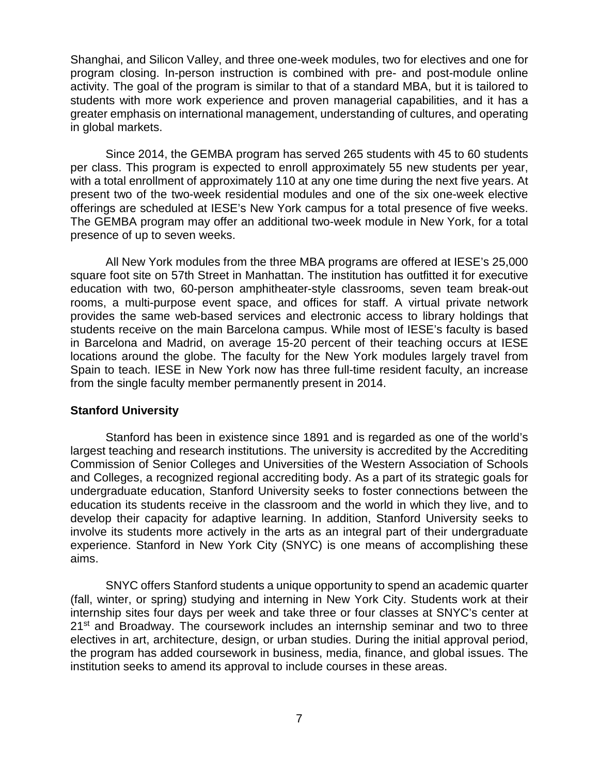Shanghai, and Silicon Valley, and three one-week modules, two for electives and one for program closing. In-person instruction is combined with pre- and post-module online activity. The goal of the program is similar to that of a standard MBA, but it is tailored to students with more work experience and proven managerial capabilities, and it has a greater emphasis on international management, understanding of cultures, and operating in global markets.

Since 2014, the GEMBA program has served 265 students with 45 to 60 students per class. This program is expected to enroll approximately 55 new students per year, with a total enrollment of approximately 110 at any one time during the next five years. At present two of the two-week residential modules and one of the six one-week elective offerings are scheduled at IESE's New York campus for a total presence of five weeks. The GEMBA program may offer an additional two-week module in New York, for a total presence of up to seven weeks.

All New York modules from the three MBA programs are offered at IESE's 25,000 square foot site on 57th Street in Manhattan. The institution has outfitted it for executive education with two, 60-person amphitheater-style classrooms, seven team break-out rooms, a multi-purpose event space, and offices for staff. A virtual private network provides the same web-based services and electronic access to library holdings that students receive on the main Barcelona campus. While most of IESE's faculty is based in Barcelona and Madrid, on average 15-20 percent of their teaching occurs at IESE locations around the globe. The faculty for the New York modules largely travel from Spain to teach. IESE in New York now has three full-time resident faculty, an increase from the single faculty member permanently present in 2014.

### **Stanford University**

Stanford has been in existence since 1891 and is regarded as one of the world's largest teaching and research institutions. The university is accredited by the Accrediting Commission of Senior Colleges and Universities of the Western Association of Schools and Colleges, a recognized regional accrediting body. As a part of its strategic goals for undergraduate education, Stanford University seeks to foster connections between the education its students receive in the classroom and the world in which they live, and to develop their capacity for adaptive learning. In addition, Stanford University seeks to involve its students more actively in the arts as an integral part of their undergraduate experience. Stanford in New York City (SNYC) is one means of accomplishing these aims.

SNYC offers Stanford students a unique opportunity to spend an academic quarter (fall, winter, or spring) studying and interning in New York City. Students work at their internship sites four days per week and take three or four classes at SNYC's center at 21<sup>st</sup> and Broadway. The coursework includes an internship seminar and two to three electives in art, architecture, design, or urban studies. During the initial approval period, the program has added coursework in business, media, finance, and global issues. The institution seeks to amend its approval to include courses in these areas.